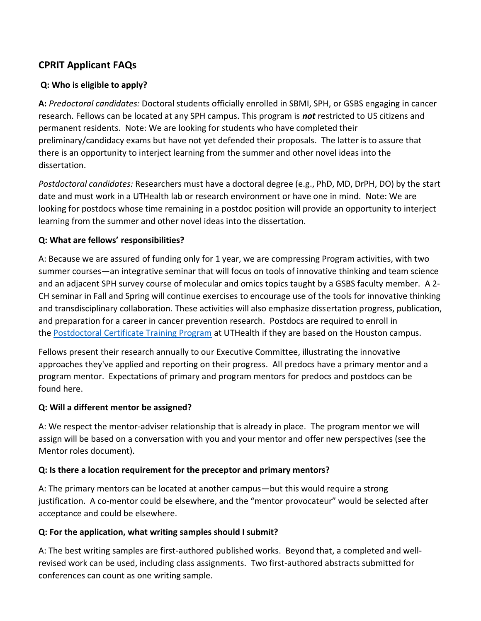# **CPRIT Applicant FAQs**

### **Q: Who is eligible to apply?**

**A:** *Predoctoral candidates:* Doctoral students officially enrolled in SBMI, SPH, or GSBS engaging in cancer research. Fellows can be located at any SPH campus. This program is *not* restricted to US citizens and permanent residents. Note: We are looking for students who have completed their preliminary/candidacy exams but have not yet defended their proposals. The latter is to assure that there is an opportunity to interject learning from the summer and other novel ideas into the dissertation.

*Postdoctoral candidates:* Researchers must have a doctoral degree (e.g., PhD, MD, DrPH, DO) by the start date and must work in a UTHealth lab or research environment or have one in mind. Note: We are looking for postdocs whose time remaining in a postdoc position will provide an opportunity to interject learning from the summer and other novel ideas into the dissertation.

#### **Q: What are fellows' responsibilities?**

A: Because we are assured of funding only for 1 year, we are compressing Program activities, with two summer courses—an integrative seminar that will focus on tools of innovative thinking and team science and an adjacent SPH survey course of molecular and omics topics taught by a GSBS faculty member. A 2- CH seminar in Fall and Spring will continue exercises to encourage use of the tools for innovative thinking and transdisciplinary collaboration. These activities will also emphasize dissertation progress, publication, and preparation for a career in cancer prevention research. Postdocs are required to enroll in the [Postdoctoral Certificate Training Program](http://www.uth.tmc.edu/postdocs/) at UTHealth if they are based on the Houston campus.

Fellows present their research annually to our Executive Committee, illustrating the innovative approaches they've applied and reporting on their progress. All predocs have a primary mentor and a program mentor. Expectations of primary and program mentors for predocs and postdocs can be found here.

#### **Q: Will a different mentor be assigned?**

A: We respect the mentor-adviser relationship that is already in place. The program mentor we will assign will be based on a conversation with you and your mentor and offer new perspectives (see the Mentor roles document).

#### **Q: Is there a location requirement for the preceptor and primary mentors?**

A: The primary mentors can be located at another campus—but this would require a strong justification. A co-mentor could be elsewhere, and the "mentor provocateur" would be selected after acceptance and could be elsewhere.

#### **Q: For the application, what writing samples should I submit?**

A: The best writing samples are first-authored published works. Beyond that, a completed and wellrevised work can be used, including class assignments. Two first-authored abstracts submitted for conferences can count as one writing sample.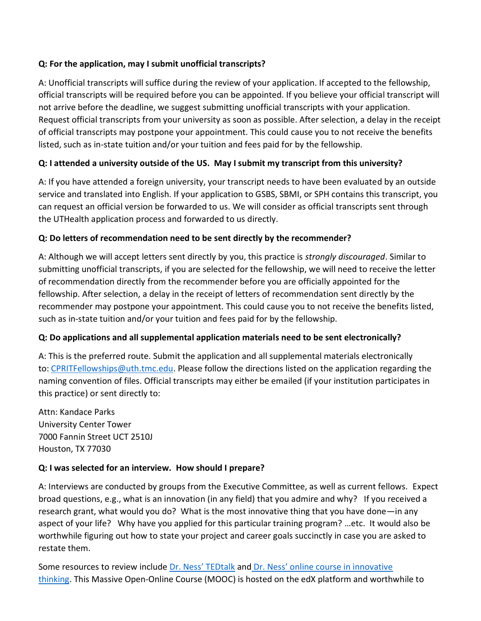### **Q: For the application, may I submit unofficial transcripts?**

A: Unofficial transcripts will suffice during the review of your application. If accepted to the fellowship, official transcripts will be required before you can be appointed. If you believe your official transcript will not arrive before the deadline, we suggest submitting unofficial transcripts with your application. Request official transcripts from your university as soon as possible. After selection, a delay in the receipt of official transcripts may postpone your appointment. This could cause you to not receive the benefits listed, such as in-state tuition and/or your tuition and fees paid for by the fellowship.

## **Q: I attended a university outside of the US. May I submit my transcript from this university?**

A: If you have attended a foreign university, your transcript needs to have been evaluated by an outside service and translated into English. If your application to GSBS, SBMI, or SPH contains this transcript, you can request an official version be forwarded to us. We will consider as official transcripts sent through the UTHealth application process and forwarded to us directly.

### **Q: Do letters of recommendation need to be sent directly by the recommender?**

A: Although we will accept letters sent directly by you, this practice is *strongly discouraged*. Similar to submitting unofficial transcripts, if you are selected for the fellowship, we will need to receive the letter of recommendation directly from the recommender before you are officially appointed for the fellowship. After selection, a delay in the receipt of letters of recommendation sent directly by the recommender may postpone your appointment. This could cause you to not receive the benefits listed, such as in-state tuition and/or your tuition and fees paid for by the fellowship.

#### **Q: Do applications and all supplemental application materials need to be sent electronically?**

A: This is the preferred route. Submit the application and all supplemental materials electronically to: [CPRITFellowships@uth.tmc.edu.](mailto:CPRITFellowships@uth.tmc.edu) Please follow the directions listed on the application regarding the naming convention of files. Official transcripts may either be emailed (if your institution participates in this practice) or sent directly to:

Attn: Kandace Parks University Center Tower 7000 Fannin Street UCT 2510J Houston, TX 77030

## **Q: I was selected for an interview. How should I prepare?**

A: Interviews are conducted by groups from the Executive Committee, as well as current fellows. Expect broad questions, e.g., what is an innovation (in any field) that you admire and why? If you received a research grant, what would you do? What is the most innovative thing that you have done—in any aspect of your life? Why have you applied for this particular training program? …etc. It would also be worthwhile figuring out how to state your project and career goals succinctly in case you are asked to restate them.

Some resources to review include [Dr. Ness' TEDtalk](https://www.tedmed.com/talks/show?id=526207) and [Dr. Ness' online course in innovative](https://www.edx.org/course/reinvent-yourself-unleash-your-creativity)  [thinking.](https://www.edx.org/course/reinvent-yourself-unleash-your-creativity) This Massive Open-Online Course (MOOC) is hosted on the edX platform and worthwhile to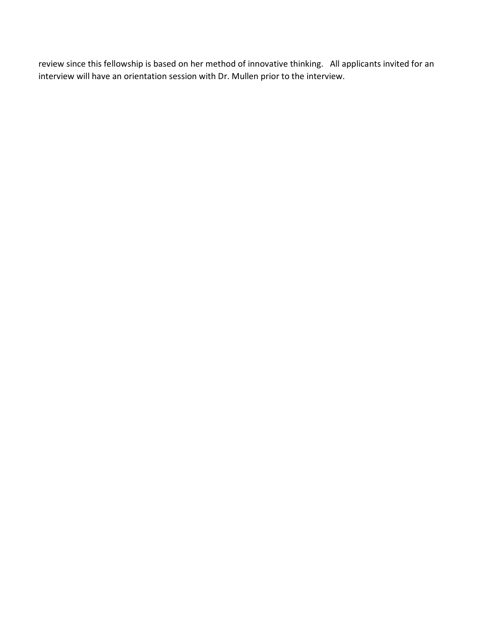review since this fellowship is based on her method of innovative thinking. All applicants invited for an interview will have an orientation session with Dr. Mullen prior to the interview.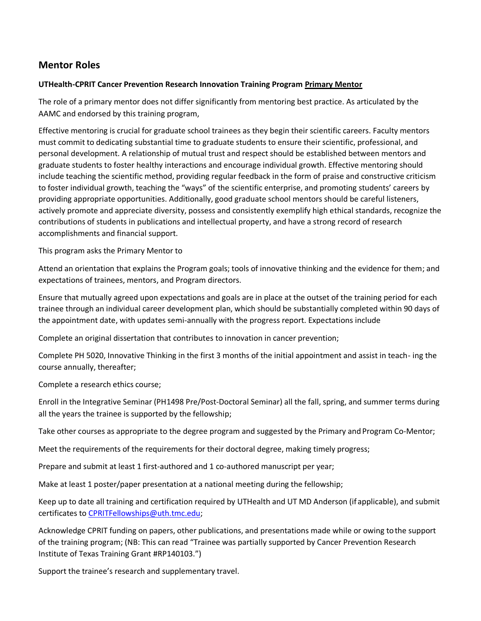## **Mentor Roles**

#### **UTHealth-CPRIT Cancer Prevention Research Innovation Training Program Primary Mentor**

The role of a primary mentor does not differ significantly from mentoring best practice. As articulated by the AAMC and endorsed by this training program,

Effective mentoring is crucial for graduate school trainees as they begin their scientific careers. Faculty mentors must commit to dedicating substantial time to graduate students to ensure their scientific, professional, and personal development. A relationship of mutual trust and respect should be established between mentors and graduate students to foster healthy interactions and encourage individual growth. Effective mentoring should include teaching the scientific method, providing regular feedback in the form of praise and constructive criticism to foster individual growth, teaching the "ways" of the scientific enterprise, and promoting students' careers by providing appropriate opportunities. Additionally, good graduate school mentors should be careful listeners, actively promote and appreciate diversity, possess and consistently exemplify high ethical standards, recognize the contributions of students in publications and intellectual property, and have a strong record of research accomplishments and financial support.

This program asks the Primary Mentor to

Attend an orientation that explains the Program goals; tools of innovative thinking and the evidence for them; and expectations of trainees, mentors, and Program directors.

Ensure that mutually agreed upon expectations and goals are in place at the outset of the training period for each trainee through an individual career development plan, which should be substantially completed within 90 days of the appointment date, with updates semi-annually with the progress report. Expectations include

Complete an original dissertation that contributes to innovation in cancer prevention;

Complete PH 5020, Innovative Thinking in the first 3 months of the initial appointment and assist in teach- ing the course annually, thereafter;

Complete a research ethics course;

Enroll in the Integrative Seminar (PH1498 Pre/Post-Doctoral Seminar) all the fall, spring, and summer terms during all the years the trainee is supported by the fellowship;

Take other courses as appropriate to the degree program and suggested by the Primary and Program Co-Mentor;

Meet the requirements of the requirements for their doctoral degree, making timely progress;

Prepare and submit at least 1 first-authored and 1 co-authored manuscript per year;

Make at least 1 poster/paper presentation at a national meeting during the fellowship;

Keep up to date all training and certification required by UTHealth and UT MD Anderson (if applicable), and submit certificates to [CPRITFellowships@uth.tmc.edu;](mailto:CPRITFellowships@uth.tmc.edu)

Acknowledge CPRIT funding on papers, other publications, and presentations made while or owing tothe support of the training program; (NB: This can read "Trainee was partially supported by Cancer Prevention Research Institute of Texas Training Grant #RP140103.")

Support the trainee's research and supplementary travel.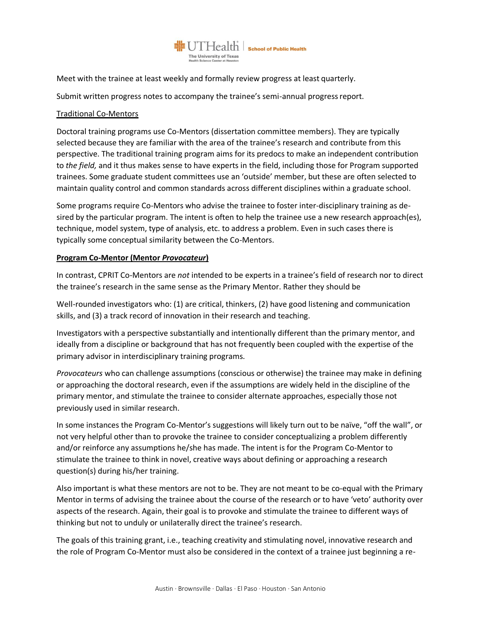

Meet with the trainee at least weekly and formally review progress at least quarterly.

Submit written progress notes to accompany the trainee's semi-annual progressreport.

#### Traditional Co-Mentors

Doctoral training programs use Co-Mentors (dissertation committee members). They are typically selected because they are familiar with the area of the trainee's research and contribute from this perspective. The traditional training program aims for its predocs to make an independent contribution to *the field,* and it thus makes sense to have experts in the field, including those for Program supported trainees. Some graduate student committees use an 'outside' member, but these are often selected to maintain quality control and common standards across different disciplines within a graduate school.

Some programs require Co-Mentors who advise the trainee to foster inter-disciplinary training as desired by the particular program. The intent is often to help the trainee use a new research approach(es), technique, model system, type of analysis, etc. to address a problem. Even in such cases there is typically some conceptual similarity between the Co-Mentors.

#### **Program Co-Mentor (Mentor** *Provocateur***)**

In contrast, CPRIT Co-Mentors are *not* intended to be experts in a trainee's field of research nor to direct the trainee's research in the same sense as the Primary Mentor. Rather they should be

Well-rounded investigators who: (1) are critical, thinkers, (2) have good listening and communication skills, and (3) a track record of innovation in their research and teaching.

Investigators with a perspective substantially and intentionally different than the primary mentor, and ideally from a discipline or background that has not frequently been coupled with the expertise of the primary advisor in interdisciplinary training programs.

*Provocateurs* who can challenge assumptions (conscious or otherwise) the trainee may make in defining or approaching the doctoral research, even if the assumptions are widely held in the discipline of the primary mentor, and stimulate the trainee to consider alternate approaches, especially those not previously used in similar research.

In some instances the Program Co-Mentor's suggestions will likely turn out to be naïve, "off the wall", or not very helpful other than to provoke the trainee to consider conceptualizing a problem differently and/or reinforce any assumptions he/she has made. The intent is for the Program Co-Mentor to stimulate the trainee to think in novel, creative ways about defining or approaching a research question(s) during his/her training.

Also important is what these mentors are not to be. They are not meant to be co-equal with the Primary Mentor in terms of advising the trainee about the course of the research or to have 'veto' authority over aspects of the research. Again, their goal is to provoke and stimulate the trainee to different ways of thinking but not to unduly or unilaterally direct the trainee's research.

The goals of this training grant, i.e., teaching creativity and stimulating novel, innovative research and the role of Program Co-Mentor must also be considered in the context of a trainee just beginning a re-